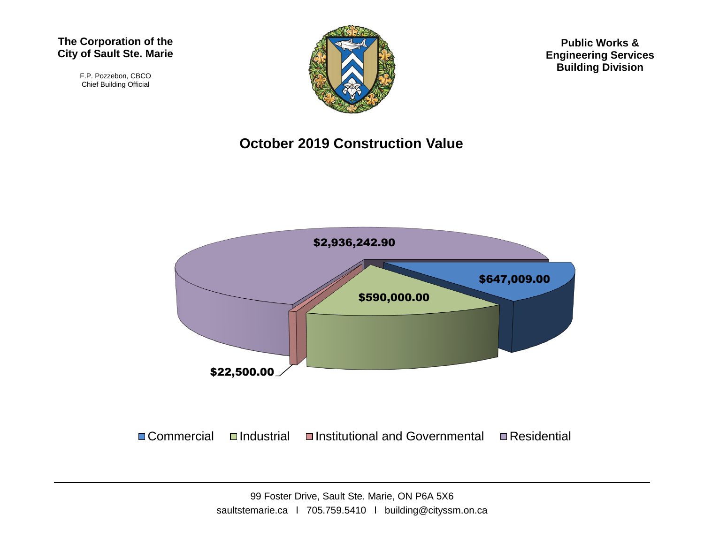#### **The Corporation of the City of Sault Ste. Marie**

F.P. Pozzebon, CBCO Chief Building Official



**Public Works & Engineering Services Building Division**

#### **October 2019 Construction Value**



 $\Box$  Commercial  $\Box$ Industrial  $\Box$ Institutional and Governmental  $\Box$  Residential

99 Foster Drive, Sault Ste. Marie, ON P6A 5X6 saultstemarie.ca | 705.759.5410 | building@cityssm.on.ca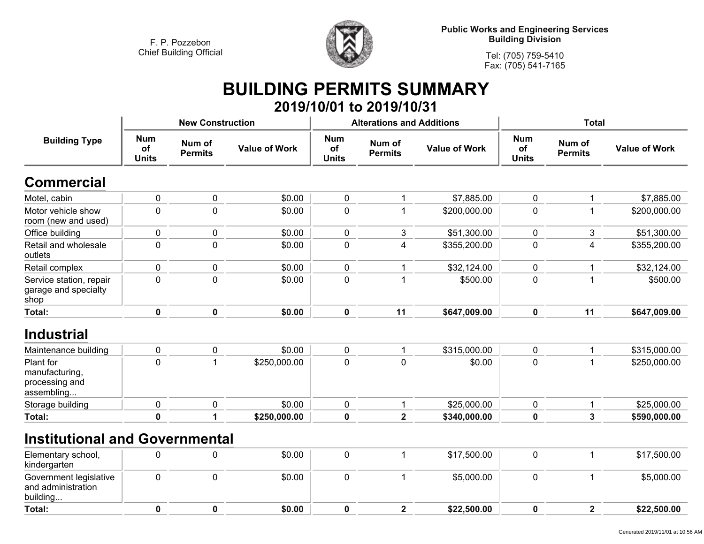**Total:**

**<sup>0</sup>**



**Public Works and Engineering Services Building Division**

> **Tel: (705) 759-5410Fax: (705) 541-7165**

# **BUILDING PERMITS SUMMARY**

|                                                             |                                  |                          |                      |                                  | 2019/10/01 to 2019/10/31         |                      |                                  |                          |                      |
|-------------------------------------------------------------|----------------------------------|--------------------------|----------------------|----------------------------------|----------------------------------|----------------------|----------------------------------|--------------------------|----------------------|
|                                                             |                                  | <b>New Construction</b>  |                      |                                  | <b>Alterations and Additions</b> |                      | <b>Total</b>                     |                          |                      |
| <b>Building Type</b>                                        | <b>Num</b><br>of<br><b>Units</b> | Num of<br><b>Permits</b> | <b>Value of Work</b> | <b>Num</b><br>of<br><b>Units</b> | Num of<br><b>Permits</b>         | <b>Value of Work</b> | <b>Num</b><br>of<br><b>Units</b> | Num of<br><b>Permits</b> | <b>Value of Work</b> |
| <b>Commercial</b>                                           |                                  |                          |                      |                                  |                                  |                      |                                  |                          |                      |
| Motel, cabin                                                | 0                                | 0                        | \$0.00               | $\pmb{0}$                        |                                  | \$7,885.00           | 0                                | $\mathbf{1}$             | \$7,885.00           |
| Motor vehicle show<br>room (new and used)                   | 0                                | $\mathbf 0$              | \$0.00               | $\mathbf 0$                      |                                  | \$200,000.00         | $\mathbf{0}$                     | $\mathbf{1}$             | \$200,000.00         |
| Office building                                             | 0                                | $\pmb{0}$                | \$0.00               | $\pmb{0}$                        | 3                                | \$51,300.00          | $\mathbf 0$                      | 3                        | \$51,300.00          |
| Retail and wholesale<br>outlets                             | 0                                | $\mathbf 0$              | \$0.00               | $\pmb{0}$                        | 4                                | \$355,200.00         | $\mathbf{0}$                     | 4                        | \$355,200.00         |
| Retail complex                                              | 0                                | 0                        | \$0.00               | $\pmb{0}$                        |                                  | \$32,124.00          | 0                                | 1                        | \$32,124.00          |
| Service station, repair<br>garage and specialty<br>shop     | 0                                | 0                        | \$0.00               | $\mathbf 0$                      |                                  | \$500.00             | $\mathbf{0}$                     | $\mathbf{1}$             | \$500.00             |
| Total:                                                      | 0                                | 0                        | \$0.00               | $\mathbf 0$                      | 11                               | \$647,009.00         | 0                                | 11                       | \$647,009.00         |
| <b>Industrial</b>                                           |                                  |                          |                      |                                  |                                  |                      |                                  |                          |                      |
| Maintenance building                                        | 0                                | 0                        | \$0.00               | $\pmb{0}$                        |                                  | \$315,000.00         | $\mathbf 0$                      | 1                        | \$315,000.00         |
| Plant for<br>manufacturing,<br>processing and<br>assembling | 0                                | $\mathbf{1}$             | \$250,000.00         | $\Omega$                         | $\Omega$                         | \$0.00               | $\Omega$                         | $\mathbf{1}$             | \$250,000.00         |
| Storage building                                            | $\mathbf 0$                      | $\pmb{0}$                | \$0.00               | $\pmb{0}$                        | $\mathbf 1$                      | \$25,000.00          | $\mathbf 0$                      | $\mathbf{1}$             | \$25,000.00          |
| Total:                                                      | $\mathbf 0$                      | 1                        | \$250,000.00         | $\pmb{0}$                        | $\overline{\mathbf{2}}$          | \$340,000.00         | 0                                | $\mathbf{3}$             | \$590,000.00         |
| <b>Institutional and Governmental</b>                       |                                  |                          |                      |                                  |                                  |                      |                                  |                          |                      |
| Elementary school,<br>kindergarten                          | 0                                | $\pmb{0}$                | \$0.00               | $\pmb{0}$                        | 1                                | \$17,500.00          | $\pmb{0}$                        | $\mathbf{1}$             | \$17,500.00          |
| Government legislative<br>and administration<br>building    | $\mathbf 0$                      | $\mathbf 0$              | \$0.00               | $\mathbf 0$                      |                                  | \$5,000.00           | $\mathbf 0$                      | $\mathbf{1}$             | \$5,000.00           |

**<sup>0</sup> \$0.00 <sup>0</sup> <sup>2</sup> \$22,500.00 <sup>0</sup> <sup>2</sup> \$22,500.00**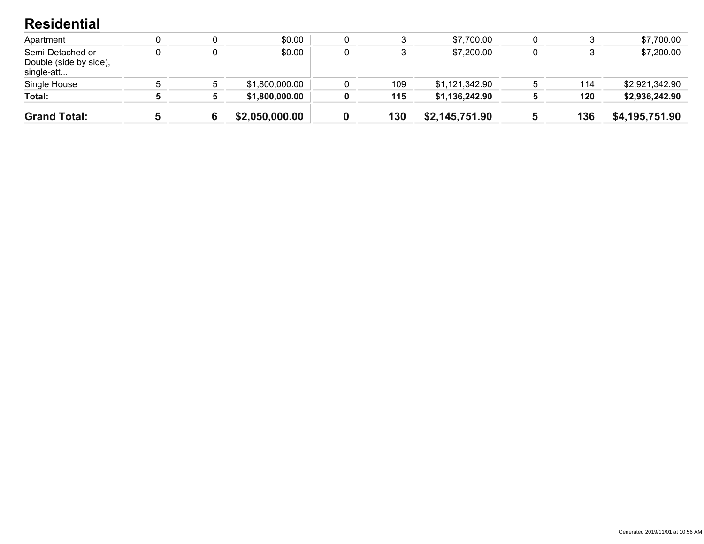### **Residential**

| <b>Grand Total:</b>                                      |  | \$2,050,000.00 | 130 | \$2,145,751.90 | 136 | \$4,195,751.90 |
|----------------------------------------------------------|--|----------------|-----|----------------|-----|----------------|
| Total:                                                   |  | \$1,800,000.00 | 115 | \$1,136,242.90 | 120 | \$2,936,242.90 |
| Single House                                             |  | \$1,800,000.00 | 109 | \$1,121,342.90 | 114 | \$2,921,342.90 |
| Semi-Detached or<br>Double (side by side),<br>single-att |  | \$0.00         |     | \$7,200.00     |     | \$7,200.00     |
| Apartment                                                |  | \$0.00         |     | \$7,700.00     |     | \$7,700.00     |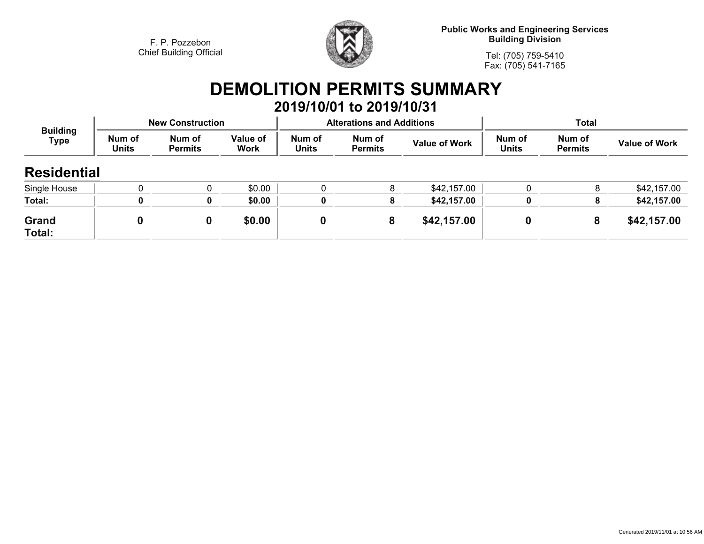

**Public Works and Engineering Services Building Division**

**Tel: (705) 759-5410Fax: (705) 541-7165**

# **DEMOLITION PERMITS SUMMARY 2019/10/01 to 2019/10/31**

| <b>Building</b><br><b>Type</b> |                        | <b>New Construction</b>  |                         |                        | <b>Alterations and Additions</b> |                      | Total                  |                          |                      |
|--------------------------------|------------------------|--------------------------|-------------------------|------------------------|----------------------------------|----------------------|------------------------|--------------------------|----------------------|
|                                | Num of<br><b>Units</b> | Num of<br><b>Permits</b> | Value of<br><b>Work</b> | Num of<br><b>Units</b> | Num of<br><b>Permits</b>         | <b>Value of Work</b> | Num of<br><b>Units</b> | Num of<br><b>Permits</b> | <b>Value of Work</b> |
| <b>Residential</b>             |                        |                          |                         |                        |                                  |                      |                        |                          |                      |
| Single House                   |                        |                          | \$0.00                  |                        | 8                                | \$42,157.00          |                        | 8                        | \$42,157.00          |
| Total:                         |                        | O                        | \$0.00                  |                        |                                  | \$42,157.00          | 0                      | 8                        | \$42,157.00          |
| Grand<br>Total:                |                        | 0                        | \$0.00                  | 0                      | 8                                | \$42,157.00          |                        | 8                        | \$42,157.00          |